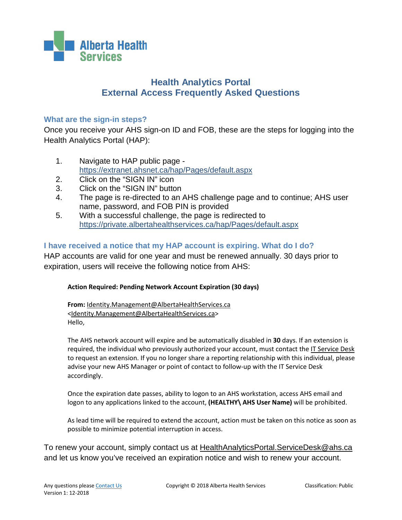

# **Health Analytics Portal External Access Frequently Asked Questions**

### **What are the sign-in steps?**

Once you receive your AHS sign-on ID and FOB, these are the steps for logging into the Health Analytics Portal (HAP):

- 1. Navigate to HAP public page <https://extranet.ahsnet.ca/hap/Pages/default.aspx>
- 2. Click on the "SIGN IN" icon
- 3. Click on the "SIGN IN" button
- 4. The page is re-directed to an AHS challenge page and to continue; AHS user name, password, and FOB PIN is provided
- 5. With a successful challenge, the page is redirected to <https://private.albertahealthservices.ca/hap/Pages/default.aspx>

## **I have received a notice that my HAP account is expiring. What do I do?**

HAP accounts are valid for one year and must be renewed annually. 30 days prior to expiration, users will receive the following notice from AHS:

#### **Action Required: Pending Network Account Expiration (30 days)**

**From:** [Identity.Management@AlbertaHealthServices.ca](mailto:Identity.Management@AlbertaHealthServices.ca) [<Identity.Management@AlbertaHealthServices.ca>](mailto:Identity.Management@AlbertaHealthServices.ca) Hello,

The AHS network account will expire and be automatically disabled in **30** days. If an extension is required, the individual who previously authorized your account, must contact the [IT Service Desk](http://insite.albertahealthservices.ca/974.asp) to request an extension. If you no longer share a reporting relationship with this individual, please advise your new AHS Manager or point of contact to follow-up with the IT Service Desk accordingly.

Once the expiration date passes, ability to logon to an AHS workstation, access AHS email and logon to any applications linked to the account, **(HEALTHY\ AHS User Name)** will be prohibited.

As lead time will be required to extend the account, action must be taken on this notice as soon as possible to minimize potential interruption in access.

To renew your account, simply contact us at [HealthAnalyticsPortal.ServiceDesk@ahs.ca](mailto:HealthAnalyticsPortal.ServiceDesk@ahs.ca) and let us know you've received an expiration notice and wish to renew your account.